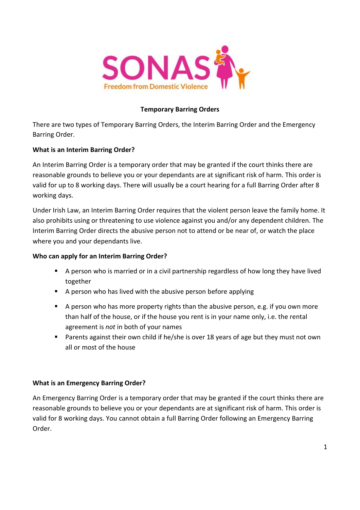

# **Temporary Barring Orders**

There are two types of Temporary Barring Orders, the Interim Barring Order and the Emergency Barring Order.

# **What is an Interim Barring Order?**

An Interim Barring Order is a temporary order that may be granted if the court thinks there are reasonable grounds to believe you or your dependants are at significant risk of harm. This order is valid for up to 8 working days. There will usually be a court hearing for a full Barring Order after 8 working days.

Under Irish Law, an Interim Barring Order requires that the violent person leave the family home. It also prohibits using or threatening to use violence against you and/or any dependent children. The Interim Barring Order directs the abusive person not to attend or be near of, or watch the place where you and your dependants live.

# **Who can apply for an Interim Barring Order?**

- A person who is married or in a civil partnership regardless of how long they have lived together
- A person who has lived with the abusive person before applying
- $\blacksquare$  A person who has more property rights than the abusive person, e.g. if you own more than half of the house, or if the house you rent is in your name only, i.e. the rental agreement is *not* in both of your names
- **Parents against their own child if he/she is over 18 years of age but they must not own** all or most of the house

### **What is an Emergency Barring Order?**

An Emergency Barring Order is a temporary order that may be granted if the court thinks there are reasonable grounds to believe you or your dependants are at significant risk of harm. This order is valid for 8 working days. You cannot obtain a full Barring Order following an Emergency Barring Order.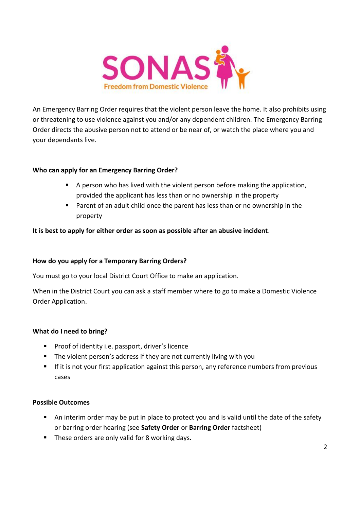

An Emergency Barring Order requires that the violent person leave the home. It also prohibits using or threatening to use violence against you and/or any dependent children. The Emergency Barring Order directs the abusive person not to attend or be near of, or watch the place where you and your dependants live.

### **Who can apply for an Emergency Barring Order?**

- A person who has lived with the violent person before making the application, provided the applicant has less than or no ownership in the property
- Parent of an adult child once the parent has less than or no ownership in the property

### **It is best to apply for either order as soon as possible after an abusive incident**.

### **How do you apply for a Temporary Barring Orders?**

You must go to your local District Court Office to make an application.

When in the District Court you can ask a staff member where to go to make a Domestic Violence Order Application.

### **What do I need to bring?**

- **Proof of identity i.e. passport, driver's licence**
- **The violent person's address if they are not currently living with you**
- If it is not your first application against this person, any reference numbers from previous cases

#### **Possible Outcomes**

- An interim order may be put in place to protect you and is valid until the date of the safety or barring order hearing (see **Safety Order** or **Barring Order** factsheet)
- **These orders are only valid for 8 working days.**